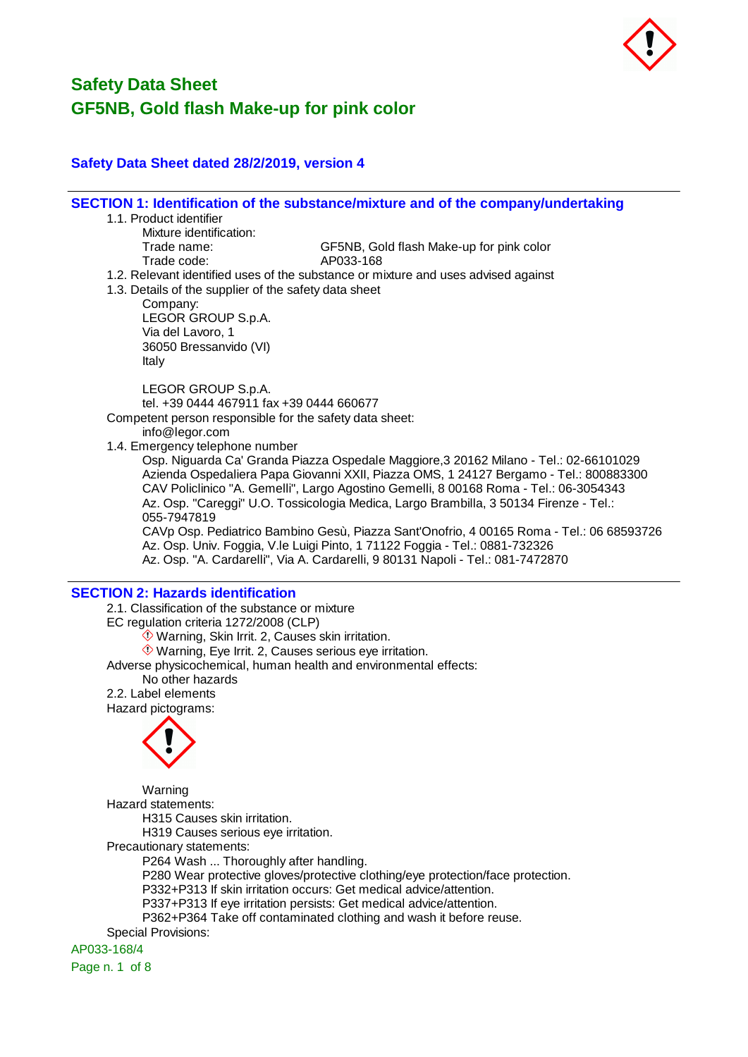

## **Safety Data Sheet dated 28/2/2019, version 4**

**SECTION 1: Identification of the substance/mixture and of the company/undertaking**

- 1.1. Product identifier
	- Mixture identification:

Trade name: GF5NB, Gold flash Make-up for pink color

- Trade code: AP033-168
- 1.2. Relevant identified uses of the substance or mixture and uses advised against
- 1.3. Details of the supplier of the safety data sheet

Company: LEGOR GROUP S.p.A. Via del Lavoro, 1 36050 Bressanvido (VI) Italy

LEGOR GROUP S.p.A. tel. +39 0444 467911 fax +39 0444 660677

Competent person responsible for the safety data sheet:

info@legor.com

1.4. Emergency telephone number

Osp. Niguarda Ca' Granda Piazza Ospedale Maggiore,3 20162 Milano - Tel.: 02-66101029 Azienda Ospedaliera Papa Giovanni XXII, Piazza OMS, 1 24127 Bergamo - Tel.: 800883300 CAV Policlinico "A. Gemelli", Largo Agostino Gemelli, 8 00168 Roma - Tel.: 06-3054343 Az. Osp. "Careggi" U.O. Tossicologia Medica, Largo Brambilla, 3 50134 Firenze - Tel.: 055-7947819

CAVp Osp. Pediatrico Bambino Gesù, Piazza Sant'Onofrio, 4 00165 Roma - Tel.: 06 68593726 Az. Osp. Univ. Foggia, V.le Luigi Pinto, 1 71122 Foggia - Tel.: 0881-732326 Az. Osp. "A. Cardarelli", Via A. Cardarelli, 9 80131 Napoli - Tel.: 081-7472870

## **SECTION 2: Hazards identification**

2.1. Classification of the substance or mixture EC regulation criteria 1272/2008 (CLP)  $\Diamond$  Warning, Skin Irrit. 2, Causes skin irritation. Warning, Eye Irrit. 2, Causes serious eye irritation. Adverse physicochemical, human health and environmental effects: No other hazards 2.2. Label elements Hazard pictograms:



Warning Hazard statements: H315 Causes skin irritation. H319 Causes serious eye irritation. Precautionary statements: P264 Wash ... Thoroughly after handling. P280 Wear protective gloves/protective clothing/eye protection/face protection. P332+P313 If skin irritation occurs: Get medical advice/attention. P337+P313 If eye irritation persists: Get medical advice/attention. P362+P364 Take off contaminated clothing and wash it before reuse. Special Provisions:

AP033-168/4

Page n. 1 of 8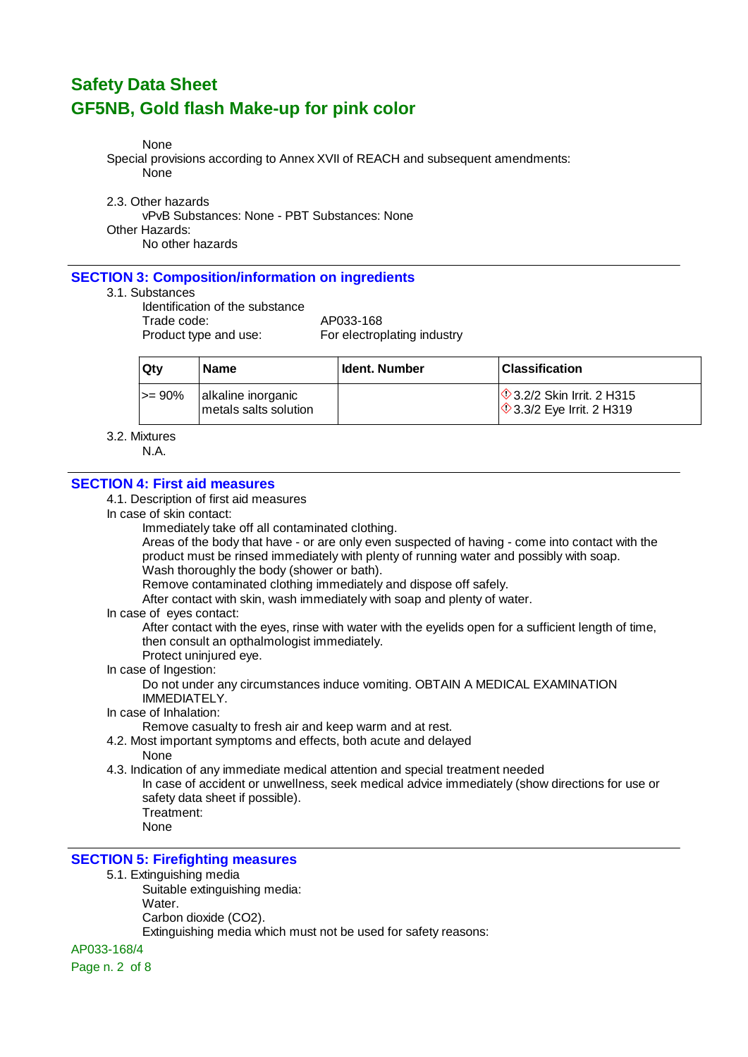None

Special provisions according to Annex XVII of REACH and subsequent amendments: None

2.3. Other hazards

vPvB Substances: None - PBT Substances: None Other Hazards: No other hazards

## **SECTION 3: Composition/information on ingredients**

#### 3.1. Substances

Identification of the substance Trade code: AP033-168

Product type and use: For electroplating industry

| ∣ Qtv       | <b>Name</b>                                 | Ident. Number | <b>Classification</b>                                                     |
|-------------|---------------------------------------------|---------------|---------------------------------------------------------------------------|
| $\ge$ = 90% | alkaline inorganic<br>metals salts solution |               | $\Diamond$ 3.2/2 Skin Irrit. 2 H315<br>$\Diamond$ 3.3/2 Eye Irrit. 2 H319 |

#### 3.2. Mixtures

N.A.

## **SECTION 4: First aid measures**

#### 4.1. Description of first aid measures

In case of skin contact:

Immediately take off all contaminated clothing.

Areas of the body that have - or are only even suspected of having - come into contact with the product must be rinsed immediately with plenty of running water and possibly with soap. Wash thoroughly the body (shower or bath).

Remove contaminated clothing immediately and dispose off safely.

After contact with skin, wash immediately with soap and plenty of water.

In case of eyes contact:

After contact with the eyes, rinse with water with the eyelids open for a sufficient length of time, then consult an opthalmologist immediately.

Protect uninjured eve.

## In case of Ingestion:

Do not under any circumstances induce vomiting. OBTAIN A MEDICAL EXAMINATION IMMEDIATELY.

#### In case of Inhalation:

Remove casualty to fresh air and keep warm and at rest.

4.2. Most important symptoms and effects, both acute and delayed

None

4.3. Indication of any immediate medical attention and special treatment needed

In case of accident or unwellness, seek medical advice immediately (show directions for use or safety data sheet if possible). Treatment:

None

## **SECTION 5: Firefighting measures**

#### 5.1. Extinguishing media

Suitable extinguishing media:

Water.

Carbon dioxide (CO2).

Extinguishing media which must not be used for safety reasons:

AP033-168/4

Page n. 2 of 8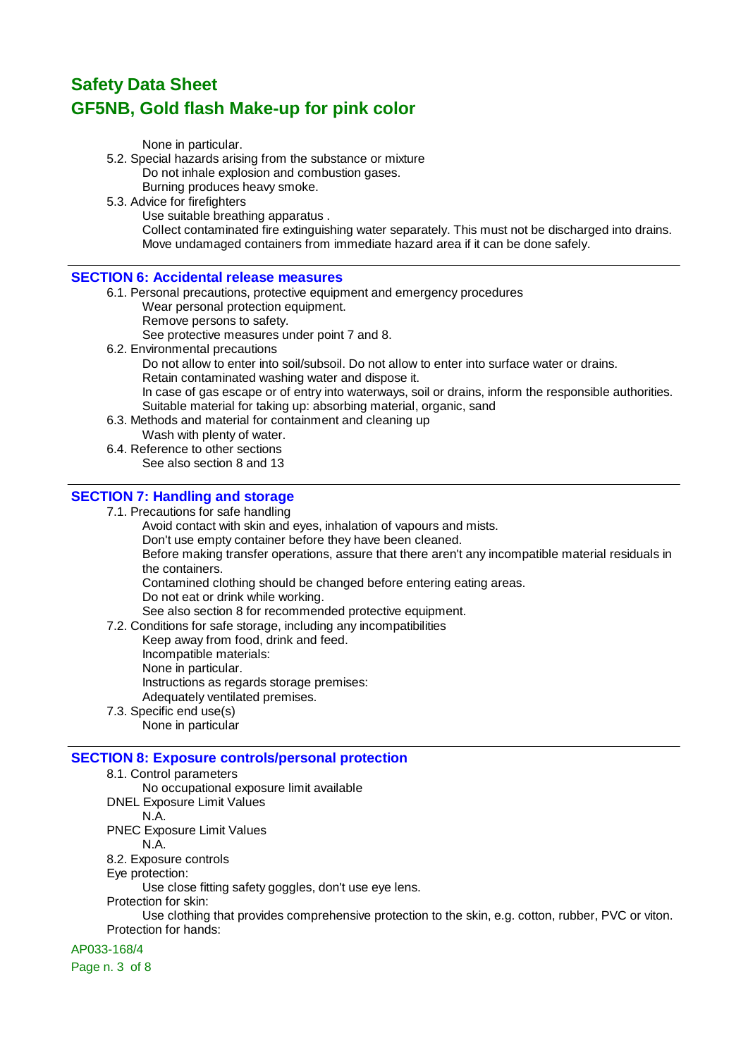None in particular.

- 5.2. Special hazards arising from the substance or mixture Do not inhale explosion and combustion gases. Burning produces heavy smoke.
- 5.3. Advice for firefighters
	- Use suitable breathing apparatus .

Collect contaminated fire extinguishing water separately. This must not be discharged into drains. Move undamaged containers from immediate hazard area if it can be done safely.

#### **SECTION 6: Accidental release measures**

- 6.1. Personal precautions, protective equipment and emergency procedures
	- Wear personal protection equipment.
	- Remove persons to safety.

See protective measures under point 7 and 8.

6.2. Environmental precautions

Do not allow to enter into soil/subsoil. Do not allow to enter into surface water or drains. Retain contaminated washing water and dispose it.

In case of gas escape or of entry into waterways, soil or drains, inform the responsible authorities. Suitable material for taking up: absorbing material, organic, sand

- 6.3. Methods and material for containment and cleaning up
	- Wash with plenty of water.
- 6.4. Reference to other sections See also section 8 and 13

## **SECTION 7: Handling and storage**

7.1. Precautions for safe handling

Avoid contact with skin and eyes, inhalation of vapours and mists.

Don't use empty container before they have been cleaned.

Before making transfer operations, assure that there aren't any incompatible material residuals in the containers.

Contamined clothing should be changed before entering eating areas.

Do not eat or drink while working.

See also section 8 for recommended protective equipment.

7.2. Conditions for safe storage, including any incompatibilities

Keep away from food, drink and feed.

- Incompatible materials:
- None in particular.

Instructions as regards storage premises:

- Adequately ventilated premises.
- 7.3. Specific end use(s) None in particular

## **SECTION 8: Exposure controls/personal protection**

- 8.1. Control parameters
- No occupational exposure limit available
- DNEL Exposure Limit Values

N.A.

PNEC Exposure Limit Values

- N.A.
- 8.2. Exposure controls
- Eye protection:

Use close fitting safety goggles, don't use eye lens.

Protection for skin:

Use clothing that provides comprehensive protection to the skin, e.g. cotton, rubber, PVC or viton. Protection for hands:

## AP033-168/4

Page n. 3 of 8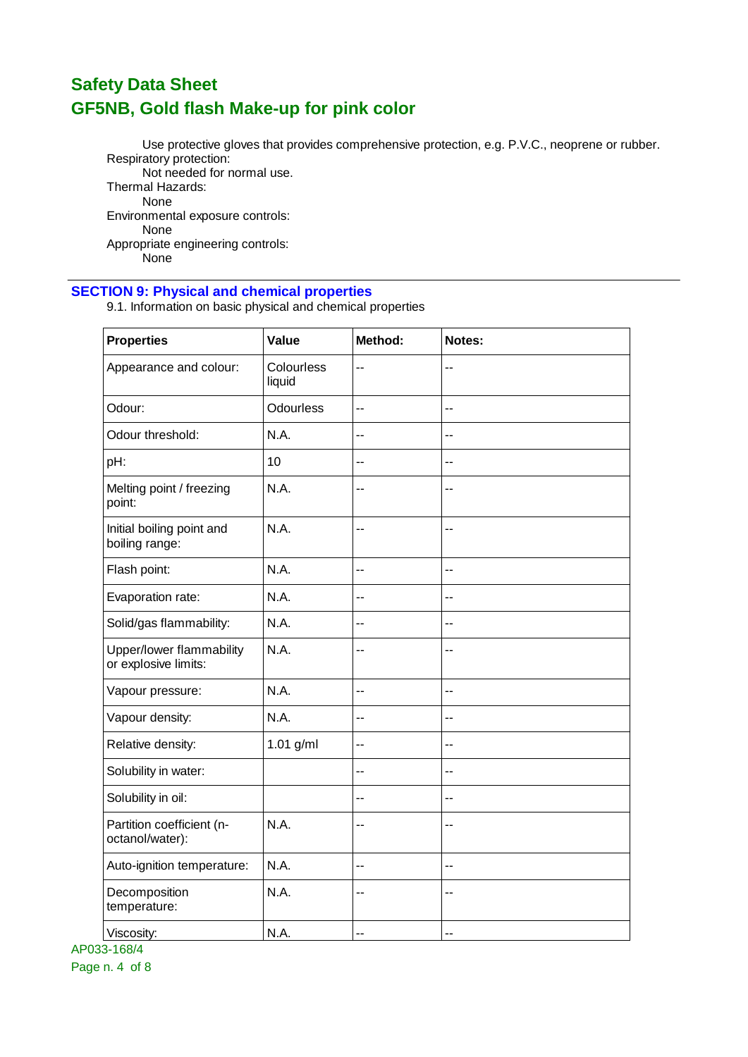Use protective gloves that provides comprehensive protection, e.g. P.V.C., neoprene or rubber. Respiratory protection: Not needed for normal use. Thermal Hazards:

None Environmental exposure controls: None Appropriate engineering controls: None

## **SECTION 9: Physical and chemical properties**

9.1. Information on basic physical and chemical properties

| <b>Properties</b>                                | Value                | Method:                  | Notes:                   |
|--------------------------------------------------|----------------------|--------------------------|--------------------------|
| Appearance and colour:                           | Colourless<br>liquid | $-$                      | $-$                      |
| Odour:                                           | <b>Odourless</b>     | $\overline{\phantom{a}}$ | $-$                      |
| Odour threshold:                                 | N.A.                 | $-$                      | $\overline{a}$           |
| pH:                                              | 10                   | $-$                      | $-$                      |
| Melting point / freezing<br>point:               | N.A.                 | --                       | --                       |
| Initial boiling point and<br>boiling range:      | N.A.                 | --                       | --                       |
| Flash point:                                     | N.A.                 | $-$                      | $-$                      |
| Evaporation rate:                                | N.A.                 | --                       | $-$                      |
| Solid/gas flammability:                          | N.A.                 | --                       | --                       |
| Upper/lower flammability<br>or explosive limits: | N.A.                 | --                       | $\overline{\phantom{a}}$ |
| Vapour pressure:                                 | N.A.                 | $-$                      | $\overline{\phantom{a}}$ |
| Vapour density:                                  | N.A.                 | $-$                      | $-$                      |
| Relative density:                                | 1.01 g/ml            | --                       | --                       |
| Solubility in water:                             |                      | $-$                      | $-$                      |
| Solubility in oil:                               |                      | $-$                      | --                       |
| Partition coefficient (n-<br>octanol/water):     | N.A.                 | $-$                      | $-$                      |
| Auto-ignition temperature:                       | N.A.                 | $-$                      | $-$                      |
| Decomposition<br>temperature:                    | N.A.                 | --                       | --                       |
| Viscosity:                                       | N.A.                 | --                       | --                       |

AP033-168/4 Page n. 4 of 8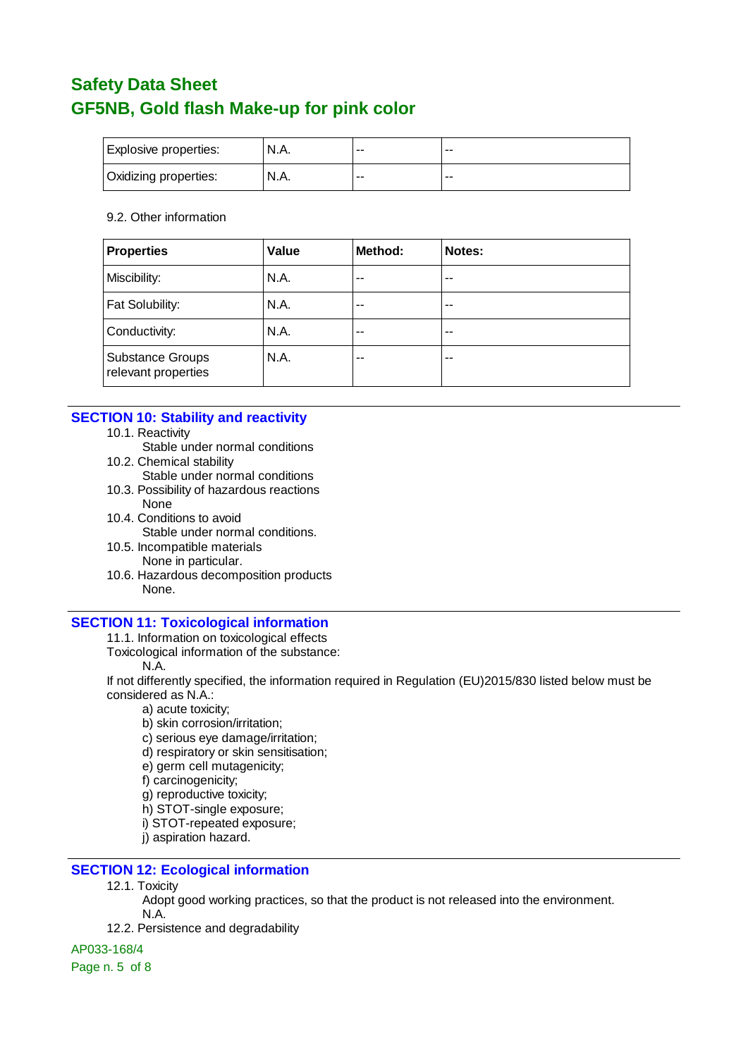| Explosive properties: | N.A.  | $- -$       | --    |
|-----------------------|-------|-------------|-------|
| Oxidizing properties: | 'N.A. | $- -$<br>-- | $- -$ |

#### 9.2. Other information

| <b>Properties</b>                              | Value | Method: | Notes: |
|------------------------------------------------|-------|---------|--------|
| Miscibility:                                   | N.A.  | --      | $-$    |
| Fat Solubility:                                | N.A.  | $-$     | $-$    |
| Conductivity:                                  | N.A.  | --      | --     |
| <b>Substance Groups</b><br>relevant properties | N.A.  | --      | --     |

#### **SECTION 10: Stability and reactivity**

- 10.1. Reactivity
	- Stable under normal conditions
- 10.2. Chemical stability
	- Stable under normal conditions
- 10.3. Possibility of hazardous reactions None
- 10.4. Conditions to avoid Stable under normal conditions.
- 10.5. Incompatible materials None in particular.
- 10.6. Hazardous decomposition products None.

#### **SECTION 11: Toxicological information**

11.1. Information on toxicological effects

- Toxicological information of the substance:
	- N.A.

If not differently specified, the information required in Regulation (EU)2015/830 listed below must be considered as N.A.:

- a) acute toxicity;
- b) skin corrosion/irritation;
- c) serious eye damage/irritation;
- d) respiratory or skin sensitisation;
- e) germ cell mutagenicity;
- f) carcinogenicity;
- g) reproductive toxicity;
- h) STOT-single exposure;
- i) STOT-repeated exposure;
- j) aspiration hazard.

## **SECTION 12: Ecological information**

- 12.1. Toxicity
	- Adopt good working practices, so that the product is not released into the environment. N.A.
- 12.2. Persistence and degradability

#### AP033-168/4

Page n. 5 of 8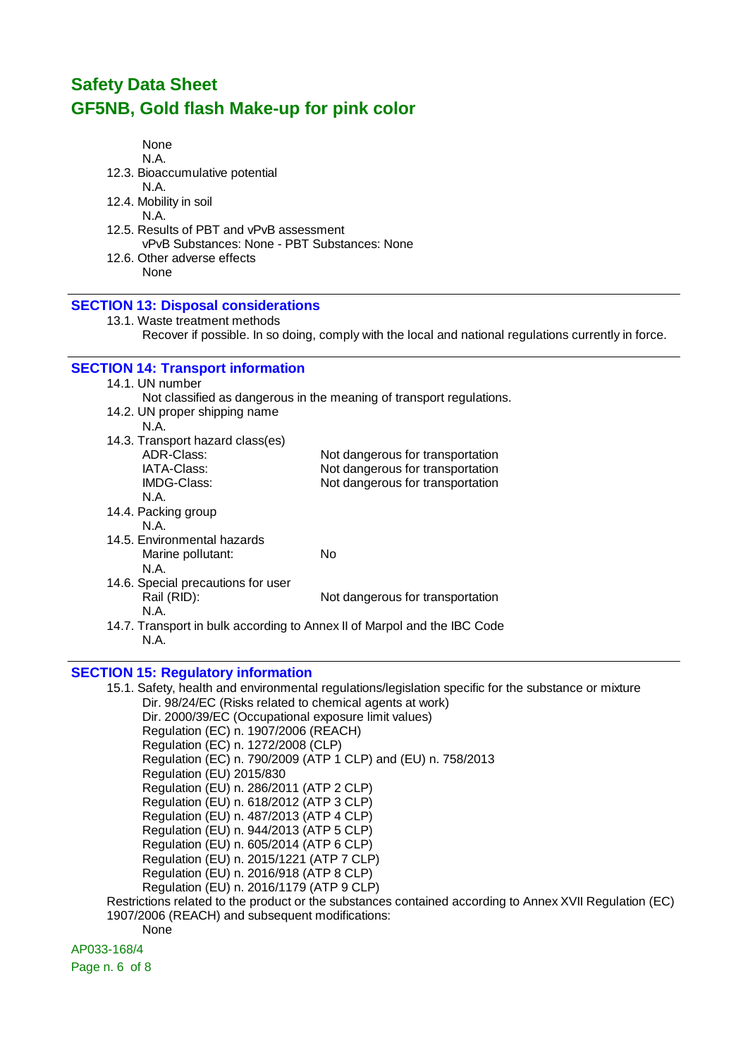| None<br>N.A.<br>12.3. Bioaccumulative potential<br>N.A.<br>12.4. Mobility in soil<br>N.A.<br>12.5. Results of PBT and vPvB assessment<br>vPvB Substances: None - PBT Substances: None<br>12.6. Other adverse effects<br>None |                                                                                                      |
|------------------------------------------------------------------------------------------------------------------------------------------------------------------------------------------------------------------------------|------------------------------------------------------------------------------------------------------|
| <b>SECTION 13: Disposal considerations</b>                                                                                                                                                                                   |                                                                                                      |
| 13.1. Waste treatment methods                                                                                                                                                                                                | Recover if possible. In so doing, comply with the local and national regulations currently in force. |
| <b>SECTION 14: Transport information</b>                                                                                                                                                                                     |                                                                                                      |
| 14.1. UN number                                                                                                                                                                                                              |                                                                                                      |
| 14.2. UN proper shipping name                                                                                                                                                                                                | Not classified as dangerous in the meaning of transport regulations.                                 |
| N.A.                                                                                                                                                                                                                         |                                                                                                      |
| 14.3. Transport hazard class(es)                                                                                                                                                                                             |                                                                                                      |
| ADR-Class:                                                                                                                                                                                                                   | Not dangerous for transportation                                                                     |
| IATA-Class:                                                                                                                                                                                                                  | Not dangerous for transportation                                                                     |
| <b>IMDG-Class:</b><br>N.A.                                                                                                                                                                                                   | Not dangerous for transportation                                                                     |
| 14.4. Packing group                                                                                                                                                                                                          |                                                                                                      |
| N.A.                                                                                                                                                                                                                         |                                                                                                      |
| 14.5. Environmental hazards                                                                                                                                                                                                  |                                                                                                      |
| Marine pollutant:                                                                                                                                                                                                            | <b>No</b>                                                                                            |
| N.A.                                                                                                                                                                                                                         |                                                                                                      |
| 14.6. Special precautions for user                                                                                                                                                                                           |                                                                                                      |
| Rail (RID):<br>N.A.                                                                                                                                                                                                          | Not dangerous for transportation                                                                     |
| N.A.                                                                                                                                                                                                                         | 14.7. Transport in bulk according to Annex II of Marpol and the IBC Code                             |

# **SECTION 15: Regulatory information**

| 15.1. Safety, health and environmental regulations/legislation specific for the substance or mixture    |
|---------------------------------------------------------------------------------------------------------|
| Dir. 98/24/EC (Risks related to chemical agents at work)                                                |
| Dir. 2000/39/EC (Occupational exposure limit values)                                                    |
| Regulation (EC) n. 1907/2006 (REACH)                                                                    |
| Regulation (EC) n. 1272/2008 (CLP)                                                                      |
| Regulation (EC) n. 790/2009 (ATP 1 CLP) and (EU) n. 758/2013                                            |
| Regulation (EU) 2015/830                                                                                |
| Regulation (EU) n. 286/2011 (ATP 2 CLP)                                                                 |
| Regulation (EU) n. 618/2012 (ATP 3 CLP)                                                                 |
| Regulation (EU) n. 487/2013 (ATP 4 CLP)                                                                 |
| Regulation (EU) n. 944/2013 (ATP 5 CLP)                                                                 |
| Regulation (EU) n. 605/2014 (ATP 6 CLP)                                                                 |
| Regulation (EU) n. 2015/1221 (ATP 7 CLP)                                                                |
| Regulation (EU) n. 2016/918 (ATP 8 CLP)                                                                 |
| Regulation (EU) n. 2016/1179 (ATP 9 CLP)                                                                |
| Restrictions related to the product or the substances contained according to Annex XVII Regulation (EC) |
| 1907/2006 (REACH) and subsequent modifications:                                                         |
|                                                                                                         |

None

AP033-168/4

Page n. 6 of 8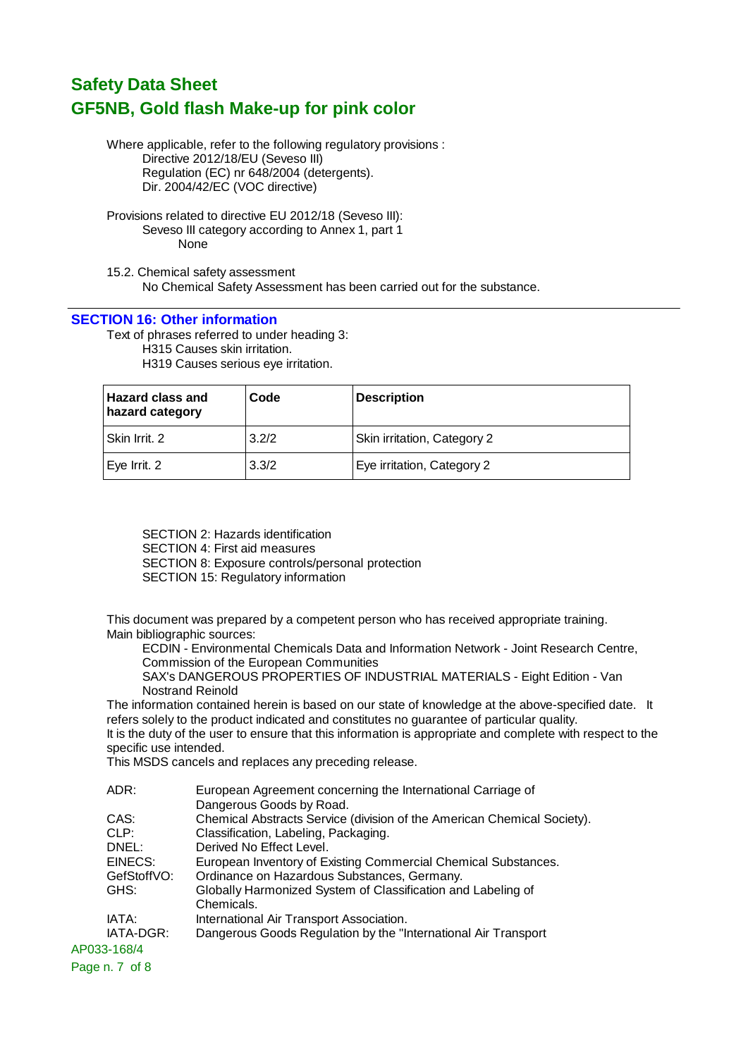Where applicable, refer to the following regulatory provisions : Directive 2012/18/EU (Seveso III) Regulation (EC) nr 648/2004 (detergents). Dir. 2004/42/EC (VOC directive)

Provisions related to directive EU 2012/18 (Seveso III): Seveso III category according to Annex 1, part 1 None

15.2. Chemical safety assessment No Chemical Safety Assessment has been carried out for the substance.

#### **SECTION 16: Other information**

Text of phrases referred to under heading 3:

H315 Causes skin irritation. H319 Causes serious eye irritation.

| <b>Hazard class and</b><br>hazard category | Code  | <b>Description</b>          |
|--------------------------------------------|-------|-----------------------------|
| l Skin Irrit. 2                            | 3.2/2 | Skin irritation, Category 2 |
| Eye Irrit. 2                               | 3.3/2 | Eye irritation, Category 2  |

SECTION 2: Hazards identification SECTION 4: First aid measures SECTION 8: Exposure controls/personal protection SECTION 15: Regulatory information

This document was prepared by a competent person who has received appropriate training. Main bibliographic sources:

ECDIN - Environmental Chemicals Data and Information Network - Joint Research Centre, Commission of the European Communities

SAX's DANGEROUS PROPERTIES OF INDUSTRIAL MATERIALS - Eight Edition - Van Nostrand Reinold

The information contained herein is based on our state of knowledge at the above-specified date. It refers solely to the product indicated and constitutes no guarantee of particular quality.

It is the duty of the user to ensure that this information is appropriate and complete with respect to the specific use intended.

This MSDS cancels and replaces any preceding release.

| ADR:        | European Agreement concerning the International Carriage of                |
|-------------|----------------------------------------------------------------------------|
|             | Dangerous Goods by Road.                                                   |
| CAS:        | Chemical Abstracts Service (division of the American Chemical Society).    |
| CLP:        | Classification, Labeling, Packaging.                                       |
| DNEL:       | Derived No Effect Level.                                                   |
| EINECS:     | European Inventory of Existing Commercial Chemical Substances.             |
| GefStoffVO: | Ordinance on Hazardous Substances, Germany.                                |
| GHS:        | Globally Harmonized System of Classification and Labeling of<br>Chemicals. |
| IATA:       | International Air Transport Association.                                   |
| IATA-DGR:   | Dangerous Goods Regulation by the "International Air Transport"            |
|             |                                                                            |
|             | AP033-168/4                                                                |

Page n. 7 of 8